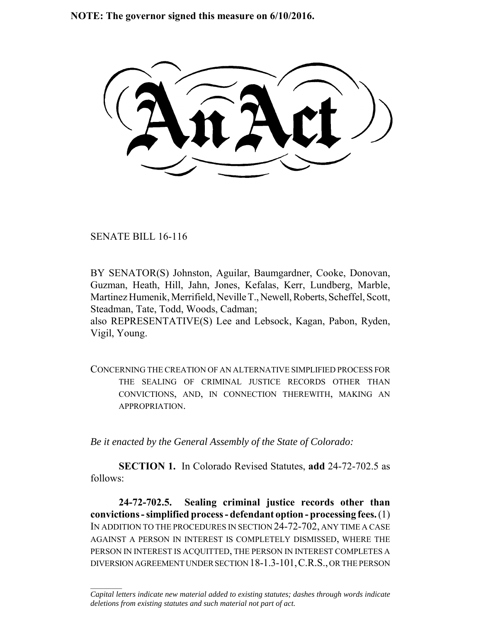**NOTE: The governor signed this measure on 6/10/2016.**

SENATE BILL 16-116

 $\frac{1}{2}$ 

BY SENATOR(S) Johnston, Aguilar, Baumgardner, Cooke, Donovan, Guzman, Heath, Hill, Jahn, Jones, Kefalas, Kerr, Lundberg, Marble, Martinez Humenik, Merrifield, Neville T., Newell, Roberts, Scheffel, Scott, Steadman, Tate, Todd, Woods, Cadman;

also REPRESENTATIVE(S) Lee and Lebsock, Kagan, Pabon, Ryden, Vigil, Young.

CONCERNING THE CREATION OF AN ALTERNATIVE SIMPLIFIED PROCESS FOR THE SEALING OF CRIMINAL JUSTICE RECORDS OTHER THAN CONVICTIONS, AND, IN CONNECTION THEREWITH, MAKING AN APPROPRIATION.

*Be it enacted by the General Assembly of the State of Colorado:*

**SECTION 1.** In Colorado Revised Statutes, **add** 24-72-702.5 as follows:

**24-72-702.5. Sealing criminal justice records other than convictions - simplified process - defendant option - processing fees.** (1) IN ADDITION TO THE PROCEDURES IN SECTION 24-72-702, ANY TIME A CASE AGAINST A PERSON IN INTEREST IS COMPLETELY DISMISSED, WHERE THE PERSON IN INTEREST IS ACQUITTED, THE PERSON IN INTEREST COMPLETES A DIVERSION AGREEMENT UNDER SECTION 18-1.3-101,C.R.S., OR THE PERSON

*Capital letters indicate new material added to existing statutes; dashes through words indicate deletions from existing statutes and such material not part of act.*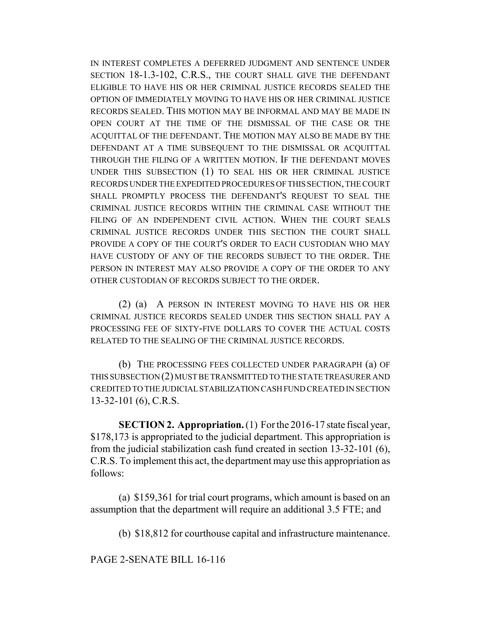IN INTEREST COMPLETES A DEFERRED JUDGMENT AND SENTENCE UNDER SECTION 18-1.3-102, C.R.S., THE COURT SHALL GIVE THE DEFENDANT ELIGIBLE TO HAVE HIS OR HER CRIMINAL JUSTICE RECORDS SEALED THE OPTION OF IMMEDIATELY MOVING TO HAVE HIS OR HER CRIMINAL JUSTICE RECORDS SEALED. THIS MOTION MAY BE INFORMAL AND MAY BE MADE IN OPEN COURT AT THE TIME OF THE DISMISSAL OF THE CASE OR THE ACQUITTAL OF THE DEFENDANT. THE MOTION MAY ALSO BE MADE BY THE DEFENDANT AT A TIME SUBSEQUENT TO THE DISMISSAL OR ACQUITTAL THROUGH THE FILING OF A WRITTEN MOTION. IF THE DEFENDANT MOVES UNDER THIS SUBSECTION (1) TO SEAL HIS OR HER CRIMINAL JUSTICE RECORDS UNDER THE EXPEDITED PROCEDURES OF THIS SECTION, THE COURT SHALL PROMPTLY PROCESS THE DEFENDANT'S REQUEST TO SEAL THE CRIMINAL JUSTICE RECORDS WITHIN THE CRIMINAL CASE WITHOUT THE FILING OF AN INDEPENDENT CIVIL ACTION. WHEN THE COURT SEALS CRIMINAL JUSTICE RECORDS UNDER THIS SECTION THE COURT SHALL PROVIDE A COPY OF THE COURT'S ORDER TO EACH CUSTODIAN WHO MAY HAVE CUSTODY OF ANY OF THE RECORDS SUBJECT TO THE ORDER. THE PERSON IN INTEREST MAY ALSO PROVIDE A COPY OF THE ORDER TO ANY OTHER CUSTODIAN OF RECORDS SUBJECT TO THE ORDER.

(2) (a) A PERSON IN INTEREST MOVING TO HAVE HIS OR HER CRIMINAL JUSTICE RECORDS SEALED UNDER THIS SECTION SHALL PAY A PROCESSING FEE OF SIXTY-FIVE DOLLARS TO COVER THE ACTUAL COSTS RELATED TO THE SEALING OF THE CRIMINAL JUSTICE RECORDS.

(b) THE PROCESSING FEES COLLECTED UNDER PARAGRAPH (a) OF THIS SUBSECTION (2) MUST BE TRANSMITTED TO THE STATE TREASURER AND CREDITED TO THE JUDICIAL STABILIZATION CASH FUND CREATED IN SECTION 13-32-101 (6), C.R.S.

**SECTION 2. Appropriation.** (1) For the 2016-17 state fiscal year, \$178,173 is appropriated to the judicial department. This appropriation is from the judicial stabilization cash fund created in section 13-32-101 (6), C.R.S. To implement this act, the department may use this appropriation as follows:

(a) \$159,361 for trial court programs, which amount is based on an assumption that the department will require an additional 3.5 FTE; and

(b) \$18,812 for courthouse capital and infrastructure maintenance.

PAGE 2-SENATE BILL 16-116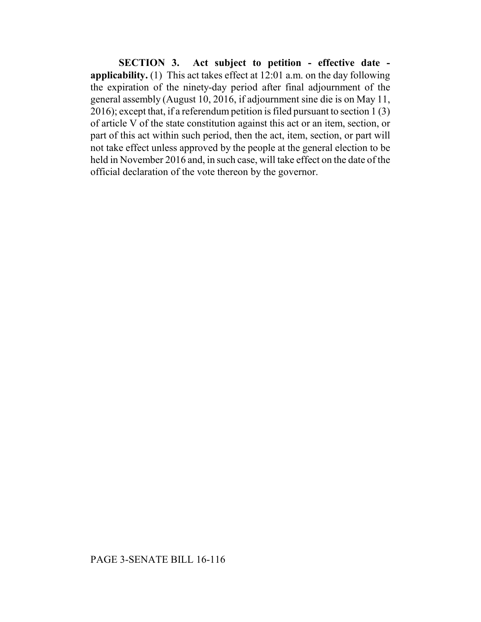**SECTION 3. Act subject to petition - effective date applicability.** (1) This act takes effect at 12:01 a.m. on the day following the expiration of the ninety-day period after final adjournment of the general assembly (August 10, 2016, if adjournment sine die is on May 11, 2016); except that, if a referendum petition is filed pursuant to section 1 (3) of article V of the state constitution against this act or an item, section, or part of this act within such period, then the act, item, section, or part will not take effect unless approved by the people at the general election to be held in November 2016 and, in such case, will take effect on the date of the official declaration of the vote thereon by the governor.